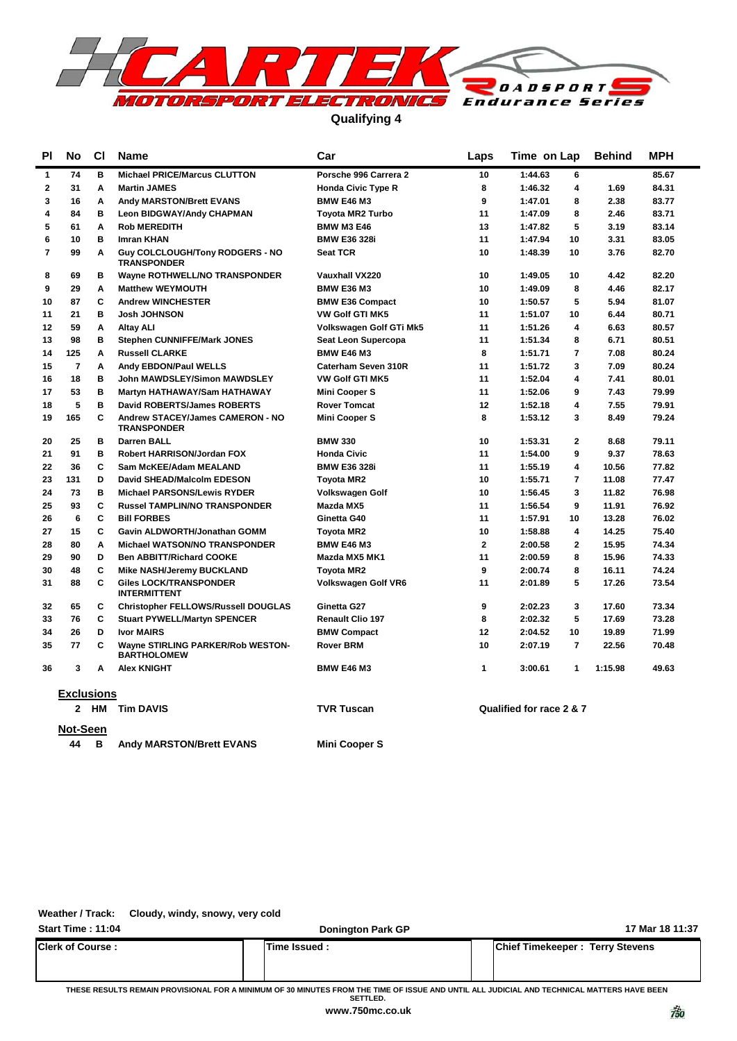

**Qualifying 4**

| <b>PI</b>         | No             | <b>CI</b> | Name<br>Car                                                  |                            | Laps         | Time on Lap                        | <b>Behind</b> | MPH   |  |
|-------------------|----------------|-----------|--------------------------------------------------------------|----------------------------|--------------|------------------------------------|---------------|-------|--|
| 1                 | 74             | в         | <b>Michael PRICE/Marcus CLUTTON</b>                          | Porsche 996 Carrera 2      | 10           | 1:44.63<br>6                       |               | 85.67 |  |
| 2                 | 31             | Α         | <b>Martin JAMES</b>                                          | <b>Honda Civic Type R</b>  | 8            | 1:46.32<br>4                       | 1.69          | 84.31 |  |
| 3                 | 16             | A         | <b>Andy MARSTON/Brett EVANS</b>                              | <b>BMW E46 M3</b>          | 9            | 1:47.01<br>8                       | 2.38          | 83.77 |  |
| 4                 | 84             | в         | <b>Leon BIDGWAY/Andy CHAPMAN</b>                             | <b>Toyota MR2 Turbo</b>    | 11           | 1:47.09<br>8                       | 2.46          | 83.71 |  |
| 5                 | 61             | A         | <b>Rob MEREDITH</b>                                          | <b>BMW M3 E46</b>          | 13           | 5<br>1:47.82                       | 3.19          | 83.14 |  |
| 6                 | 10             | в         | <b>Imran KHAN</b>                                            | <b>BMW E36 328i</b>        | 11           | 10<br>1:47.94                      | 3.31          | 83.05 |  |
| 7                 | 99             | Α         | <b>Guy COLCLOUGH/Tony RODGERS - NO</b><br><b>TRANSPONDER</b> | <b>Seat TCR</b>            | 10           | 1:48.39<br>10                      | 3.76          | 82.70 |  |
| 8                 | 69             | в         | <b>Wayne ROTHWELL/NO TRANSPONDER</b>                         | <b>Vauxhall VX220</b>      | 10           | 1:49.05<br>10                      | 4.42          | 82.20 |  |
| 9                 | 29             | A         | <b>Matthew WEYMOUTH</b>                                      | <b>BMW E36 M3</b>          | 10           | 8<br>1:49.09                       | 4.46          | 82.17 |  |
| 10                | 87             | C         | <b>Andrew WINCHESTER</b>                                     | <b>BMW E36 Compact</b>     | 10           | 5<br>1:50.57                       | 5.94          | 81.07 |  |
| 11                | 21             | в         | <b>Josh JOHNSON</b>                                          | <b>VW Golf GTI MK5</b>     | 11           | 10<br>1:51.07                      | 6.44          | 80.71 |  |
| 12                | 59             | Α         | <b>Altay ALI</b>                                             | Volkswagen Golf GTi Mk5    | 11           | $\overline{\mathbf{4}}$<br>1:51.26 | 6.63          | 80.57 |  |
| 13                | 98             | в         | <b>Stephen CUNNIFFE/Mark JONES</b>                           | Seat Leon Supercopa        | 11           | 1:51.34<br>8                       | 6.71          | 80.51 |  |
| 14                | 125            | Α         | <b>Russell CLARKE</b>                                        | <b>BMW E46 M3</b>          | 8            | $\overline{7}$<br>1:51.71          | 7.08          | 80.24 |  |
| 15                | $\overline{7}$ | Α         | <b>Andy EBDON/Paul WELLS</b>                                 | Caterham Seven 310R        | 11           | 3<br>1:51.72                       | 7.09          | 80.24 |  |
| 16                | 18             | в         | John MAWDSLEY/Simon MAWDSLEY                                 | <b>VW Golf GTI MK5</b>     | 11           | 1:52.04<br>4                       | 7.41          | 80.01 |  |
| 17                | 53             | в         | Martyn HATHAWAY/Sam HATHAWAY                                 | <b>Mini Cooper S</b>       | 11           | 1:52.06<br>9                       | 7.43          | 79.99 |  |
| 18                | 5              | в         | <b>David ROBERTS/James ROBERTS</b>                           | <b>Rover Tomcat</b>        | 12           | 1:52.18<br>4                       | 7.55          | 79.91 |  |
| 19                | 165            | C         | Andrew STACEY/James CAMERON - NO<br><b>TRANSPONDER</b>       | <b>Mini Cooper S</b>       | 8            | 3<br>1:53.12                       | 8.49          | 79.24 |  |
| 20                | 25             | в         | <b>Darren BALL</b>                                           | <b>BMW 330</b>             | 10           | $\mathbf{2}$<br>1:53.31            | 8.68          | 79.11 |  |
| 21                | 91             | B         | Robert HARRISON/Jordan FOX                                   | <b>Honda Civic</b>         | 11           | 1:54.00<br>9                       | 9.37          | 78.63 |  |
| 22                | 36             | C         | Sam McKEE/Adam MEALAND                                       | <b>BMW E36 328i</b>        | 11           | 4<br>1:55.19                       | 10.56         | 77.82 |  |
| 23                | 131            | D         | David SHEAD/Malcolm EDESON                                   | <b>Tovota MR2</b>          | 10           | 1:55.71<br>$\overline{7}$          | 11.08         | 77.47 |  |
| 24                | 73             | в         | <b>Michael PARSONS/Lewis RYDER</b>                           | <b>Volkswagen Golf</b>     | 10           | 3<br>1:56.45                       | 11.82         | 76.98 |  |
| 25                | 93             | C         | <b>Russel TAMPLIN/NO TRANSPONDER</b>                         | Mazda MX5                  | 11           | 9<br>1:56.54                       | 11.91         | 76.92 |  |
| 26                | 6              | C         | <b>Bill FORBES</b>                                           | Ginetta G40                | 11           | 10<br>1:57.91                      | 13.28         | 76.02 |  |
| 27                | 15             | C         | Gavin ALDWORTH/Jonathan GOMM                                 | <b>Toyota MR2</b>          | 10           | 1:58.88<br>4                       | 14.25         | 75.40 |  |
| 28                | 80             | Α         | <b>Michael WATSON/NO TRANSPONDER</b>                         | <b>BMW E46 M3</b>          | $\mathbf{2}$ | $\mathbf{2}$<br>2:00.58            | 15.95         | 74.34 |  |
| 29                | 90             | D         | <b>Ben ABBITT/Richard COOKE</b>                              | Mazda MX5 MK1              | 11           | 2:00.59<br>8                       | 15.96         | 74.33 |  |
| 30                | 48             | C         | Mike NASH/Jeremy BUCKLAND                                    | <b>Toyota MR2</b>          | 9            | 2:00.74<br>8                       | 16.11         | 74.24 |  |
| 31                | 88             | C         | <b>Giles LOCK/TRANSPONDER</b><br><b>INTERMITTENT</b>         | <b>Volkswagen Golf VR6</b> | 11           | 5<br>2:01.89                       | 17.26         | 73.54 |  |
| 32                | 65             | c         | <b>Christopher FELLOWS/Russell DOUGLAS</b>                   | Ginetta G27                | 9            | 3<br>2:02.23                       | 17.60         | 73.34 |  |
| 33                | 76             | C         | <b>Stuart PYWELL/Martyn SPENCER</b>                          | <b>Renault Clio 197</b>    | 8            | 5<br>2:02.32                       | 17.69         | 73.28 |  |
| 34                | 26             | D         | <b>Ivor MAIRS</b>                                            | <b>BMW Compact</b>         | 12           | 2:04.52<br>10                      | 19.89         | 71.99 |  |
| 35                | 77             | C         | Wayne STIRLING PARKER/Rob WESTON-<br><b>BARTHOLOMEW</b>      | Rover BRM                  | 10           | $\overline{7}$<br>2:07.19          | 22.56         | 70.48 |  |
| 36                | 3              | Α         | <b>Alex KNIGHT</b>                                           | <b>BMW E46 M3</b>          | 1            | 3:00.61<br>$\mathbf{1}$            | 1:15.98       | 49.63 |  |
| <b>Exclusions</b> |                |           |                                                              |                            |              |                                    |               |       |  |
|                   |                | 2 HM      | <b>Tim DAVIS</b>                                             | <b>TVR Tuscan</b>          |              | Qualified for race 2 & 7           |               |       |  |
|                   | Not-Seen       |           |                                                              |                            |              |                                    |               |       |  |
|                   | 44             | в         | <b>Andy MARSTON/Brett EVANS</b>                              | <b>Mini Cooper S</b>       |              |                                    |               |       |  |

**Weather / Track: Cloudy, windy, snowy, very cold**

| Start Time: 11:04       | <b>Donington Park GP</b> | 17 Mar 18 11:37                        |
|-------------------------|--------------------------|----------------------------------------|
| <b>Clerk of Course:</b> | Time Issued :            | <b>Chief Timekeeper: Terry Stevens</b> |

**THESE RESULTS REMAIN PROVISIONAL FOR A MINIMUM OF 30 MINUTES FROM THE TIME OF ISSUE AND UNTIL ALL JUDICIAL AND TECHNICAL MATTERS HAVE BEEN SETTLED.**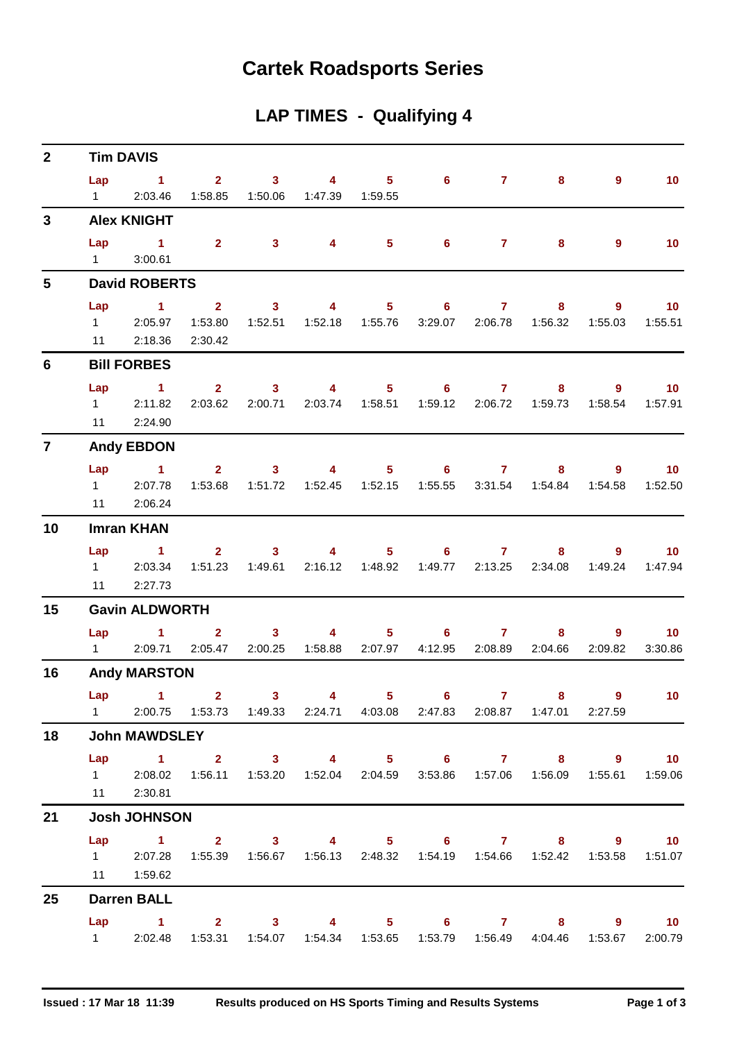## **Cartek Roadsports Series**

| LAP TIMES - Qualifying 4 |  |  |  |  |
|--------------------------|--|--|--|--|
|--------------------------|--|--|--|--|

| $\mathbf{2}$   | <b>Tim DAVIS</b>      |                                                                                   |                           |                           |                |                           |                            |                |                      |                |                            |  |  |  |
|----------------|-----------------------|-----------------------------------------------------------------------------------|---------------------------|---------------------------|----------------|---------------------------|----------------------------|----------------|----------------------|----------------|----------------------------|--|--|--|
|                | Lap<br>$1 \quad \Box$ | $\sim$ $\sim$ 1<br>2:03.46                                                        | $\mathbf{2}$<br>1:58.85   | $\mathbf{3}$<br>1:50.06   | 4<br>1:47.39   | 5 <sup>1</sup><br>1:59.55 | $6^{\circ}$                | 7 <sup>7</sup> | 8                    | 9              | 10 <sup>°</sup>            |  |  |  |
| $\mathbf{3}$   | <b>Alex KNIGHT</b>    |                                                                                   |                           |                           |                |                           |                            |                |                      |                |                            |  |  |  |
|                | Lap<br>$1 \quad \Box$ | $\sim$ 1<br>3:00.61                                                               | $\overline{\mathbf{2}}$   | $\overline{\mathbf{3}}$   | $\overline{4}$ | 5 <sub>5</sub>            | $6^{\circ}$                | $\mathbf{7}$   | 8                    | $\overline{9}$ | 10 <sup>°</sup>            |  |  |  |
| 5              | <b>David ROBERTS</b>  |                                                                                   |                           |                           |                |                           |                            |                |                      |                |                            |  |  |  |
|                | Lap                   | $\sim$ 1                                                                          | $\overline{2}$            | $\mathbf{3}$              | 4              | 5 <sup>1</sup>            | 6                          | $\mathbf{7}$   | 8                    | $\overline{9}$ | 10 <sup>°</sup>            |  |  |  |
|                | $1 \quad \Box$        | 2:05.97                                                                           | 1:53.80                   | 1:52.51                   |                | 1:52.18  1:55.76          | 3:29.07                    | 2:06.78        | 1:56.32              | 1:55.03        | 1:55.51                    |  |  |  |
|                | 11                    | 2:18.36                                                                           | 2:30.42                   |                           |                |                           |                            |                |                      |                |                            |  |  |  |
| 6              |                       | <b>Bill FORBES</b>                                                                |                           |                           |                |                           |                            |                |                      |                |                            |  |  |  |
|                | Lap                   | $\sim$ 1                                                                          | $\overline{2}$            | $\mathbf{3}$              | $\overline{4}$ | 5 <sup>1</sup>            | $\overline{\phantom{a}}$ 6 | $\mathbf{7}$   | 8                    | 9              | $-10$                      |  |  |  |
|                | $1 \quad \Box$        | 2:11.82                                                                           | 2:03.62                   | 2:00.71                   |                | 2:03.74  1:58.51          | 1:59.12                    | 2:06.72        | 1:59.73              | 1:58.54        | 1:57.91                    |  |  |  |
|                | 11                    | 2:24.90                                                                           |                           |                           |                |                           |                            |                |                      |                |                            |  |  |  |
| $\overline{7}$ |                       | <b>Andy EBDON</b>                                                                 |                           |                           |                |                           |                            |                |                      |                |                            |  |  |  |
|                | Lap<br>$1 \quad \Box$ | $\sim$ 1<br>2:07.78                                                               | $\overline{2}$<br>1:53.68 | 3 <sup>1</sup><br>1:51.72 | 4              | 5 <sub>1</sub>            | 6<br>1:55.55               | 7 <sup>7</sup> | 8<br>3:31.54 1:54.84 | 9<br>1:54.58   | 10 <sup>°</sup><br>1:52.50 |  |  |  |
|                | 11                    | 2:06.24                                                                           |                           |                           |                |                           |                            |                |                      |                |                            |  |  |  |
| 10             | <b>Imran KHAN</b>     |                                                                                   |                           |                           |                |                           |                            |                |                      |                |                            |  |  |  |
|                | Lap                   | $\sim$ $\sim$ 1                                                                   | $\overline{2}$            | $\mathbf{3}$              | 4              | $5 -$                     | $6^{\circ}$                | $\mathbf{7}$   | 8                    | 9              | 10                         |  |  |  |
|                | $1 \quad \Box$        | 2:03.34                                                                           | 1:51.23                   | 1:49.61                   |                | 2:16.12  1:48.92          | 1:49.77                    | 2:13.25        | 2:34.08              | 1:49.24        | 1:47.94                    |  |  |  |
|                | 11                    | 2:27.73                                                                           |                           |                           |                |                           |                            |                |                      |                |                            |  |  |  |
| 15             | <b>Gavin ALDWORTH</b> |                                                                                   |                           |                           |                |                           |                            |                |                      |                |                            |  |  |  |
|                | Lap                   | $\blacktriangleleft$                                                              | $\overline{2}$            | $\mathbf{3}$              | 4              | $5 -$                     | 6                          | $\mathbf{7}$   | 8                    | 9              | 10 <sup>°</sup>            |  |  |  |
|                |                       | 1 2:09.71 2:05.47                                                                 |                           | 2:00.25                   | 1:58.88        | 2:07.97                   | 4:12.95                    |                | 2:08.89 2:04.66      | 2:09.82        | 3:30.86                    |  |  |  |
| 16             |                       | <b>Andy MARSTON</b>                                                               |                           |                           |                |                           |                            |                |                      |                |                            |  |  |  |
|                |                       | $Lap$ 1                                                                           | $\mathbf{2}$              | 3                         | 4              | 5                         | 6                          | $\mathbf{7}$   | 8                    | 9              | 10 <sup>°</sup>            |  |  |  |
|                |                       | 1 2:00.75 1:53.73 1:49.33 2:24.71 4:03.08 2:47.83 2:08.87 1:47.01 2:27.59         |                           |                           |                |                           |                            |                |                      |                |                            |  |  |  |
| 18             |                       | <b>John MAWDSLEY</b>                                                              |                           |                           |                |                           |                            |                |                      |                |                            |  |  |  |
|                | Lap                   | $1 \t 2 \t 3$                                                                     |                           |                           |                |                           |                            |                | 4 5 6 7 8 9 10       |                |                            |  |  |  |
|                |                       | 1 2:08.02 1:56.11 1:53.20 1:52.04 2:04.59 3:53.86 1:57.06 1:56.09 1:55.61 1:59.06 |                           |                           |                |                           |                            |                |                      |                |                            |  |  |  |
|                |                       | 11 2:30.81                                                                        |                           |                           |                |                           |                            |                |                      |                |                            |  |  |  |
| 21             |                       | <b>Josh JOHNSON</b>                                                               |                           |                           |                |                           |                            |                |                      |                |                            |  |  |  |
|                |                       | Lap 1 2 3 4 5 6 7 8 9 10                                                          |                           |                           |                |                           |                            |                |                      |                |                            |  |  |  |
|                |                       | 1 2:07.28 1:55.39 1:56.67 1:56.13 2:48.32 1:54.19 1:54.66 1:52.42 1:53.58 1:51.07 |                           |                           |                |                           |                            |                |                      |                |                            |  |  |  |
|                |                       | 11   1:59.62                                                                      |                           |                           |                |                           |                            |                |                      |                |                            |  |  |  |
| 25             |                       | <b>Darren BALL</b>                                                                |                           |                           |                |                           |                            |                |                      |                |                            |  |  |  |
|                |                       | $Lap$ 1                                                                           |                           | $2 \t 3 \t 4$             |                |                           |                            |                | 5 6 7 8 9 10         |                |                            |  |  |  |
|                |                       | 1 2:02.48 1:53.31 1:54.07 1:54.34 1:53.65 1:53.79 1:56.49 4:04.46 1:53.67         |                           |                           |                |                           |                            |                |                      |                | 2:00.79                    |  |  |  |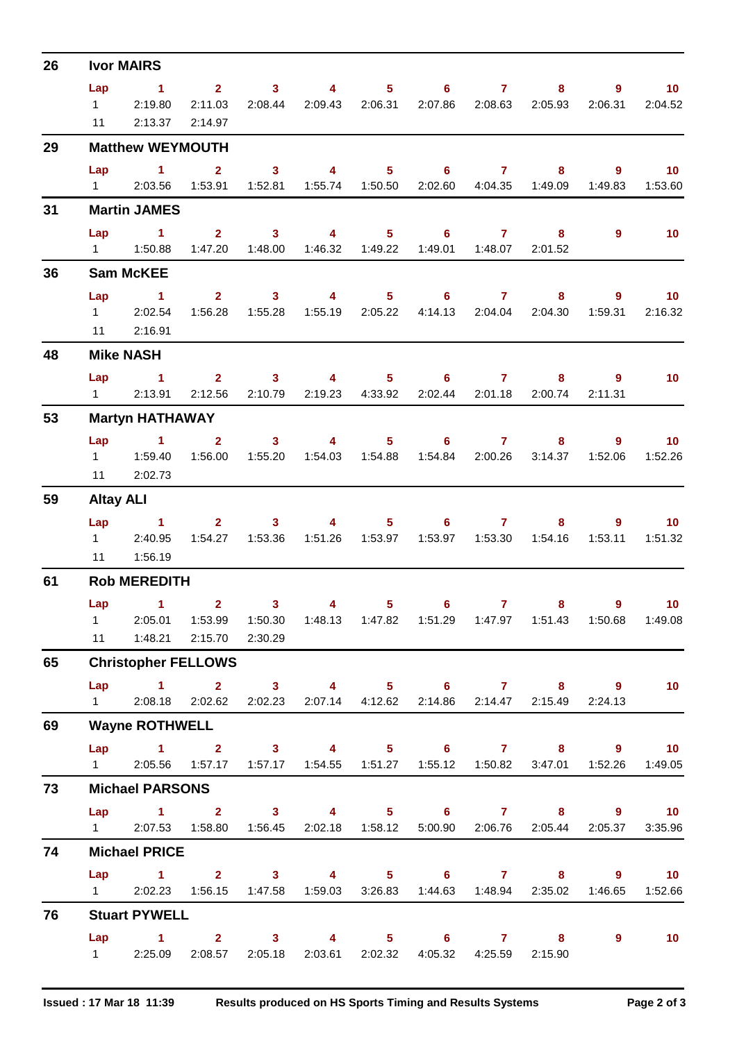| 26 | <b>Ivor MAIRS</b>           |                                                                                                                                 |                    |                            |                                                                                 |                |                                                                  |                 |         |                                       |                                        |  |  |  |
|----|-----------------------------|---------------------------------------------------------------------------------------------------------------------------------|--------------------|----------------------------|---------------------------------------------------------------------------------|----------------|------------------------------------------------------------------|-----------------|---------|---------------------------------------|----------------------------------------|--|--|--|
|    | Lap<br>$1 \quad \Box$<br>11 | $\sim$ $-1$<br>2:19.80<br>2:13.37                                                                                               | 2:11.03<br>2:14.97 | 2:08.44                    | 2 3 4 5 6 7<br>2:09.43 2:06.31                                                  |                |                                                                  | 2:07.86 2:08.63 | 2:05.93 | $9^{\circ}$<br>$8^{\circ}$<br>2:06.31 | $\sim$ 10<br>2:04.52                   |  |  |  |
| 29 |                             | <b>Matthew WEYMOUTH</b>                                                                                                         |                    |                            |                                                                                 |                |                                                                  |                 |         |                                       |                                        |  |  |  |
|    | Lap                         | $\sim$ 1<br>1 2:03.56 1:53.91 1:52.81 1:55.74 1:50.50 2:02.60 4:04.35 1:49.09                                                   | 2 <sup>1</sup>     | $\overline{\phantom{a}}$ 3 |                                                                                 |                | 4 5 6 7                                                          |                 | $8 -$   | $\overline{9}$<br>1:49.83             | $\overline{10}$<br>1:53.60             |  |  |  |
| 31 | <b>Martin JAMES</b>         |                                                                                                                                 |                    |                            |                                                                                 |                |                                                                  |                 |         |                                       |                                        |  |  |  |
|    | Lap                         | $\sim$ $\sim$ 1                                                                                                                 |                    |                            | 2 3 4 5 6 7 8<br>1:47.20  1:48.00  1:46.32  1:49.22  1:49.01  1:48.07  2:01.52  |                |                                                                  |                 |         | $9^{\circ}$                           | $\overline{10}$                        |  |  |  |
| 36 |                             | <b>Sam McKEE</b>                                                                                                                |                    |                            |                                                                                 |                |                                                                  |                 |         |                                       |                                        |  |  |  |
|    | Lap                         | $\sim$ $\sim$ 1<br>1 2:02.54<br>11 2:16.91                                                                                      | 1:56.28            | 1:55.28                    | $2 \qquad 3 \qquad 4 \qquad 5 \qquad 6 \qquad 7 \qquad 8$                       |                | 1:55.19  2:05.22  4:14.13  2:04.04  2:04.30                      |                 |         | 9<br>1:59.31                          | $\sim$ 10<br>2:16.32                   |  |  |  |
| 48 |                             | <b>Mike NASH</b>                                                                                                                |                    |                            |                                                                                 |                |                                                                  |                 |         |                                       |                                        |  |  |  |
|    | Lap                         | $\sim$ 1<br>1 2:13.91 2:12.56 2:10.79 2:19.23 4:33.92 2:02.44 2:01.18 2:00.74                                                   |                    |                            | $2 \qquad 3 \qquad 4$                                                           |                | $5 \t\t 6 \t\t 7$                                                |                 |         | 9<br>$8 - 1$<br>2:11.31               | $\blacksquare$ 10                      |  |  |  |
| 53 |                             | <b>Martyn HATHAWAY</b>                                                                                                          |                    |                            |                                                                                 |                |                                                                  |                 |         |                                       |                                        |  |  |  |
|    |                             | Lap 1 2 3 4 5 6 7 8<br>11 2:02.73                                                                                               | 1:56.00            | 1:55.20                    |                                                                                 |                | 1:54.03  1:54.88  1:54.84  2:00.26  3:14.37                      |                 |         | $9^{\circ}$<br>1:52.06                | $\overline{\phantom{0}}$ 10<br>1:52.26 |  |  |  |
| 59 |                             | <b>Altay ALI</b>                                                                                                                |                    |                            |                                                                                 |                |                                                                  |                 |         |                                       |                                        |  |  |  |
|    | Lap<br>$1 \quad \Box$       | $\sim$ $\sim$ 1<br>2:40.95                                                                                                      |                    | $2 \t 3$                   | $\sim$ 4 and $\sim$                                                             |                | $5 \t\t 6 \t\t 7$<br>1:51.26  1:53.97  1:53.97  1:53.30  1:54.16 |                 |         | $8 - 1$<br>$9^{\circ}$<br>1:53.11     | $\sim$ 10<br>1:51.32                   |  |  |  |
| 61 |                             | 11  1:56.19<br><b>Rob MEREDITH</b>                                                                                              |                    |                            |                                                                                 |                |                                                                  |                 |         |                                       |                                        |  |  |  |
|    |                             | Lap $1$ 2<br>1 2:05.01 1:53.99 1:50.30 1:48.13 1:47.82 1:51.29 1:47.97 1:51.43 1:50.68 1:49.08<br>11  1:48.21  2:15.70  2:30.29 |                    | 3 <sup>7</sup>             | 4                                                                               | 5 <sup>5</sup> | $6^{\circ}$                                                      | $\mathbf{7}$    | 8       | $9^{\circ}$                           | 10                                     |  |  |  |
| 65 |                             | <b>Christopher FELLOWS</b>                                                                                                      |                    |                            |                                                                                 |                |                                                                  |                 |         |                                       |                                        |  |  |  |
|    |                             | Lap 1 2 3 4 5 6 7 8 9 10<br>1 2:08.18 2:02.62 2:02.23 2:07.14 4:12.62 2:14.86 2:14.47 2:15.49                                   |                    |                            |                                                                                 |                |                                                                  |                 |         | 2:24.13                               |                                        |  |  |  |
| 69 |                             | <b>Wayne ROTHWELL</b>                                                                                                           |                    |                            |                                                                                 |                |                                                                  |                 |         |                                       |                                        |  |  |  |
|    |                             | Lap 1 2 3 4 5 6 7 8 9 10<br>1 2:05.56 1:57.17 1:57.17 1:54.55 1:51.27 1:55.12 1:50.82 3:47.01 1:52.26 1:49.05                   |                    |                            |                                                                                 |                |                                                                  |                 |         |                                       |                                        |  |  |  |
| 73 |                             | <b>Michael PARSONS</b>                                                                                                          |                    |                            |                                                                                 |                |                                                                  |                 |         |                                       |                                        |  |  |  |
|    | $1 \quad \Box$              | Lap 1 2 3 4 5 6 7 8 9 10                                                                                                        |                    |                            | 2:07.53  1:58.80  1:56.45  2:02.18  1:58.12  5:00.90  2:06.76  2:05.44  2:05.37 |                |                                                                  |                 |         |                                       | 3:35.96                                |  |  |  |
| 74 |                             | <b>Michael PRICE</b>                                                                                                            |                    |                            |                                                                                 |                |                                                                  |                 |         |                                       |                                        |  |  |  |
|    |                             | Lap 1 2 3 4 5 6 7 8 9 10<br>1 2:02.23 1:56.15 1:47.58 1:59.03 3:26.83 1:44.63 1:48.94 2:35.02 1:46.65 1:52.66                   |                    |                            |                                                                                 |                |                                                                  |                 |         |                                       |                                        |  |  |  |
| 76 |                             | <b>Stuart PYWELL</b>                                                                                                            |                    |                            |                                                                                 |                |                                                                  |                 |         |                                       |                                        |  |  |  |
|    |                             | Lap 1 2 3 4 5 6 7 8<br>1 2:25.09 2:08.57 2:05.18 2:03.61 2:02.32 4:05.32 4:25.59 2:15.90                                        |                    |                            |                                                                                 |                |                                                                  |                 |         | $9^{\circ}$                           | $\sim$ 10                              |  |  |  |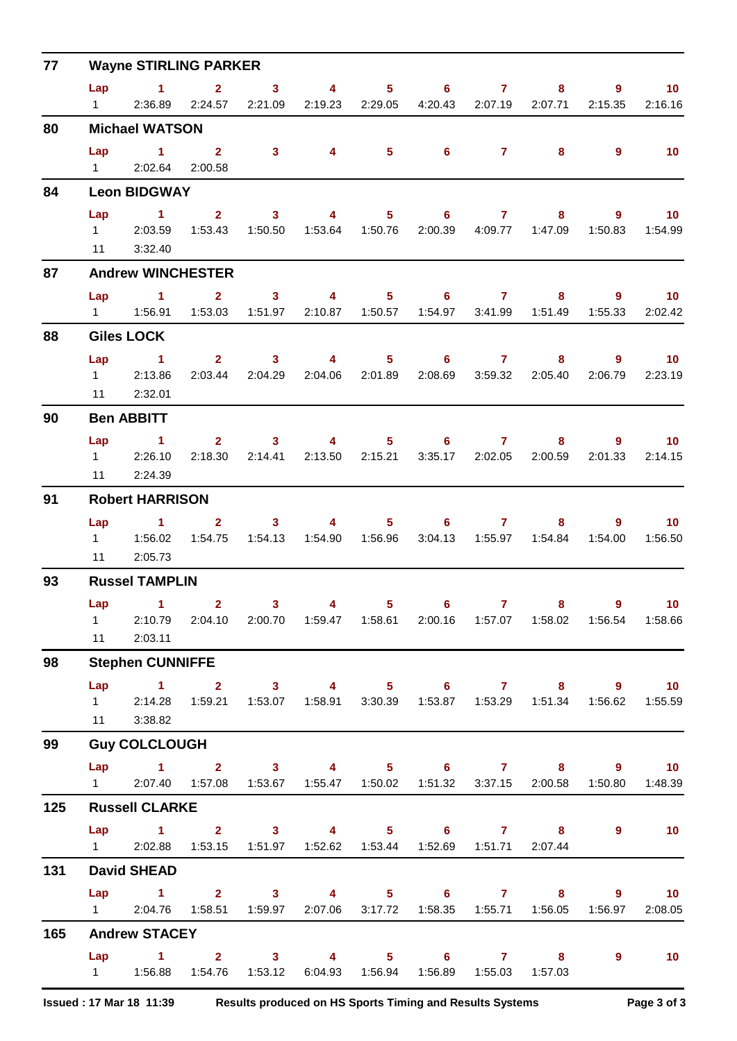| 77  | <b>Wayne STIRLING PARKER</b>                   |                                                                                                 |                                                                                          |                         |                                  |                  |                            |                  |                                       |                |                              |  |  |  |
|-----|------------------------------------------------|-------------------------------------------------------------------------------------------------|------------------------------------------------------------------------------------------|-------------------------|----------------------------------|------------------|----------------------------|------------------|---------------------------------------|----------------|------------------------------|--|--|--|
|     | Lap                                            | $\sim$ 1                                                                                        | $\mathbf{2}$                                                                             | $\mathbf{3}$            | 4                                | $5 -$            | $\overline{\phantom{a}}$ 6 | $\mathbf{7}$     | 8                                     | $\overline{9}$ | 10                           |  |  |  |
|     | $1 \quad \Box$                                 | 2:36.89                                                                                         | 2:24.57                                                                                  | 2:21.09                 | 2:19.23                          | 2:29.05          | 4:20.43                    | 2:07.19          | 2:07.71                               | 2:15.35        | 2:16.16                      |  |  |  |
| 80  |                                                | <b>Michael WATSON</b>                                                                           |                                                                                          |                         |                                  |                  |                            |                  |                                       |                |                              |  |  |  |
|     | $1 \qquad \qquad$                              | Lap 1<br>2:02.64                                                                                | $\overline{2}$<br>2:00.58                                                                | $\overline{\mathbf{3}}$ | $\overline{\mathbf{4}}$          | $5 -$            | $6^{\circ}$                | $\overline{7}$   | 8                                     | $\overline{9}$ | 10                           |  |  |  |
| 84  | <b>Leon BIDGWAY</b>                            |                                                                                                 |                                                                                          |                         |                                  |                  |                            |                  |                                       |                |                              |  |  |  |
|     | Lap                                            | $\blacktriangleleft$                                                                            | 2 <sup>1</sup>                                                                           | $\mathbf{3}$            | $\overline{4}$                   | 5 <sup>1</sup>   | 6                          |                  | $7 \quad \overline{\phantom{1}}$<br>8 | $\overline{9}$ | 10                           |  |  |  |
|     |                                                | 1 2:03.59                                                                                       |                                                                                          | 1:53.43  1:50.50        |                                  |                  |                            |                  | 2:00.39  4:09.77  1:47.09             | 1:50.83        | 1:54.99                      |  |  |  |
| 87  | 11                                             | 3:32.40<br><b>Andrew WINCHESTER</b>                                                             |                                                                                          |                         |                                  |                  |                            |                  |                                       |                |                              |  |  |  |
|     | Lap                                            | $\sim$ $\sim$ 1                                                                                 | $\mathbf{2}$                                                                             | 3 <sup>1</sup>          | $\overline{\mathbf{4}}$          |                  | $5 \t\t 6$                 | $\overline{7}$   | 8                                     | 9              | $\blacksquare$ 10            |  |  |  |
|     | $1 \quad \Box$                                 | 1:56.91                                                                                         | 1:53.03                                                                                  | 1:51.97                 |                                  | 2:10.87  1:50.57 | 1:54.97                    | 3:41.99          | 1:51.49                               | 1:55.33        | 2:02.42                      |  |  |  |
| 88  |                                                | <b>Giles LOCK</b>                                                                               |                                                                                          |                         |                                  |                  |                            |                  |                                       |                |                              |  |  |  |
|     | Lap                                            | $\sim$ $-1$                                                                                     | $2^{\circ}$                                                                              | $\overline{\mathbf{3}}$ | $\overline{\mathbf{4}}$          | $5 -$            |                            | $6 \overline{7}$ | 8                                     | $\overline{9}$ | $\overline{10}$              |  |  |  |
|     | $1 \quad \Box$                                 | 2:13.86                                                                                         | 2:03.44                                                                                  | 2:04.29                 | 2:04.06                          | 2:01.89          | 2:08.69                    | 3:59.32          | 2:05.40                               | 2:06.79        | 2:23.19                      |  |  |  |
|     | 11                                             | 2:32.01                                                                                         |                                                                                          |                         |                                  |                  |                            |                  |                                       |                |                              |  |  |  |
| 90  |                                                | <b>Ben ABBITT</b>                                                                               |                                                                                          |                         |                                  |                  |                            |                  |                                       |                |                              |  |  |  |
|     | Lap<br>$1 \quad \Box$                          | $\sim$ 1.<br>2:26.10                                                                            | 2:18.30                                                                                  | 2:14.41                 | $2 \qquad 3 \qquad 4$<br>2:13.50 | 2:15.21          | $5 \t\t 6 \t\t 7$          | 3:35.17 2:02.05  | 8<br>2:00.59                          | 9<br>2:01.33   | $\blacksquare$ 10<br>2:14.15 |  |  |  |
|     | 11                                             | 2:24.39                                                                                         |                                                                                          |                         |                                  |                  |                            |                  |                                       |                |                              |  |  |  |
| 91  | <b>Robert HARRISON</b>                         |                                                                                                 |                                                                                          |                         |                                  |                  |                            |                  |                                       |                |                              |  |  |  |
|     | Lap                                            | $\sim$ 1                                                                                        | $\mathbf{2}$                                                                             | 3 <sup>1</sup>          | $\overline{4}$                   | 5 <sub>5</sub>   | 6                          | $\overline{7}$   | 8                                     | 9              | 10 <sup>°</sup>              |  |  |  |
|     | $1 \quad$                                      | 1:56.02<br>2:05.73                                                                              | 1:54.75                                                                                  | 1:54.13                 |                                  | 1:54.90  1:56.96 | 3:04.13                    |                  |                                       | 1:54.00        | 1:56.50                      |  |  |  |
| 93  | $11 -$<br><b>Russel TAMPLIN</b>                |                                                                                                 |                                                                                          |                         |                                  |                  |                            |                  |                                       |                |                              |  |  |  |
|     | Lap                                            | $\blacksquare$                                                                                  | $\mathbf{2}$                                                                             | $\mathbf{3}$            | 4                                | 5                | 6                          | $\mathbf{7}$     | 8                                     | 9              | 10 <sup>°</sup>              |  |  |  |
|     | $1 \quad \Box$                                 |                                                                                                 | 2:10.79  2:04.10  2:00.70  1:59.47  1:58.61  2:00.16  1:57.07  1:58.02  1:56.54  1:58.66 |                         |                                  |                  |                            |                  |                                       |                |                              |  |  |  |
|     |                                                | 11  2:03.11                                                                                     |                                                                                          |                         |                                  |                  |                            |                  |                                       |                |                              |  |  |  |
| 98  |                                                | <b>Stephen CUNNIFFE</b>                                                                         |                                                                                          |                         |                                  |                  |                            |                  |                                       |                |                              |  |  |  |
|     |                                                | Lap 1 2 3 4 5 6 7 8 9 10                                                                        |                                                                                          |                         |                                  |                  |                            |                  |                                       |                |                              |  |  |  |
|     |                                                | 1 2:14.28 1:59.21 1:53.07 1:58.91 3:30.39 1:53.87 1:53.29 1:51.34 1:56.62 1:55.59<br>11 3:38.82 |                                                                                          |                         |                                  |                  |                            |                  |                                       |                |                              |  |  |  |
| 99  |                                                | <b>Guy COLCLOUGH</b>                                                                            |                                                                                          |                         |                                  |                  |                            |                  |                                       |                |                              |  |  |  |
|     |                                                | Lap 1 2 3 4 5 6 7 8 9 10                                                                        |                                                                                          |                         |                                  |                  |                            |                  |                                       |                |                              |  |  |  |
|     |                                                | 1 2:07.40 1:57.08 1:53.67 1:55.47 1:50.02 1:51.32 3:37.15 2:00.58 1:50.80 1:48.39               |                                                                                          |                         |                                  |                  |                            |                  |                                       |                |                              |  |  |  |
| 125 | <b>Russell CLARKE</b>                          |                                                                                                 |                                                                                          |                         |                                  |                  |                            |                  |                                       |                |                              |  |  |  |
|     | Lap                                            | 1 2 3 4 5 6 7 8 9                                                                               |                                                                                          |                         |                                  |                  |                            |                  |                                       |                | $\sim$ 10                    |  |  |  |
|     |                                                | 1 2:02.88 1:53.15 1:51.97 1:52.62 1:53.44 1:52.69 1:51.71 2:07.44                               |                                                                                          |                         |                                  |                  |                            |                  |                                       |                |                              |  |  |  |
| 131 | <b>David SHEAD</b><br>Lap 1 2 3 4 5 6 7 8 9 10 |                                                                                                 |                                                                                          |                         |                                  |                  |                            |                  |                                       |                |                              |  |  |  |
|     |                                                | 1 2:04.76 1:58.51 1:59.97 2:07.06 3:17.72 1:58.35 1:55.71 1:56.05                               |                                                                                          |                         |                                  |                  |                            |                  |                                       | 1:56.97        | 2:08.05                      |  |  |  |
| 165 |                                                | <b>Andrew STACEY</b>                                                                            |                                                                                          |                         |                                  |                  |                            |                  |                                       |                |                              |  |  |  |
|     |                                                | Lap 1 2 3 4 5 6 7 8                                                                             |                                                                                          |                         |                                  |                  |                            |                  |                                       | 9              | $\sim$ 10                    |  |  |  |
|     |                                                | 1   1:56.88   1:54.76   1:53.12   6:04.93   1:56.94   1:56.89   1:55.03   1:57.03               |                                                                                          |                         |                                  |                  |                            |                  |                                       |                |                              |  |  |  |